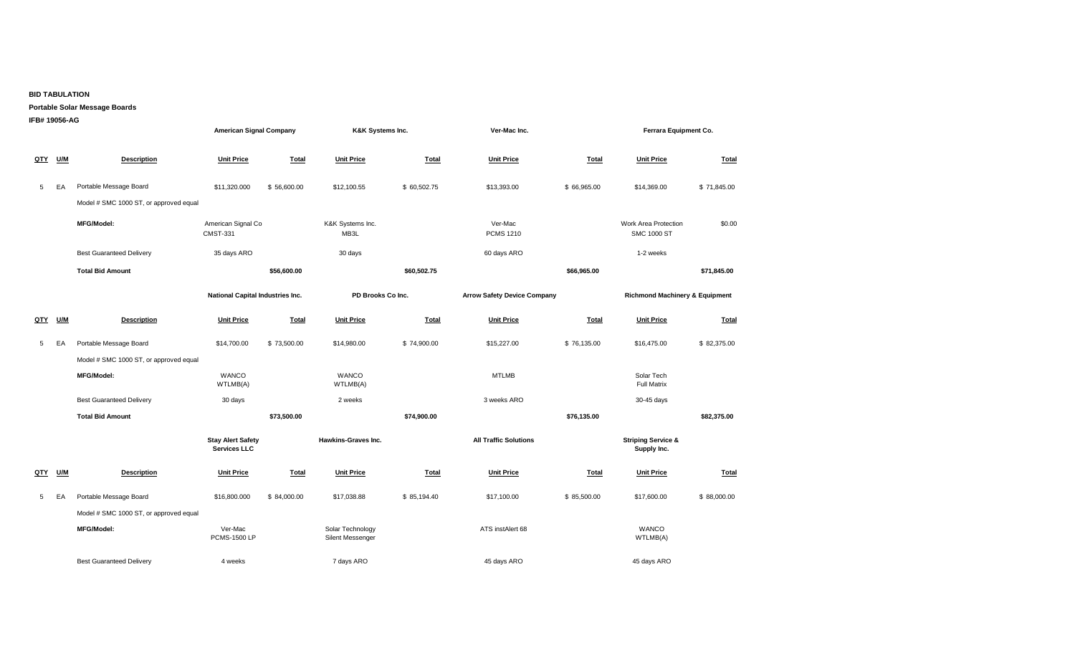## **BID TABULATION**

## **Portable Solar Message Boards**

| IFB# 19056-AG |            |                                        | <b>American Signal Company</b>           |              | K&K Systems Inc.                     |              | Ver-Mac Inc.                       |              | Ferrara Equipment Co.                        |              |
|---------------|------------|----------------------------------------|------------------------------------------|--------------|--------------------------------------|--------------|------------------------------------|--------------|----------------------------------------------|--------------|
| QTY           | U/M        | <b>Description</b>                     | <b>Unit Price</b>                        | <b>Total</b> | <b>Unit Price</b>                    | <b>Total</b> | <b>Unit Price</b>                  | Total        | <b>Unit Price</b>                            | <b>Total</b> |
| 5             | EA         | Portable Message Board                 | \$11,320.000                             | \$56,600.00  | \$12,100.55                          | \$60,502.75  | \$13,393.00                        | \$66,965.00  | \$14,369.00                                  | \$71,845.00  |
|               |            | Model # SMC 1000 ST, or approved equal |                                          |              |                                      |              |                                    |              |                                              |              |
|               |            | <b>MFG/Model:</b>                      | American Signal Co<br><b>CMST-331</b>    |              | K&K Systems Inc.<br>MB3L             |              | Ver-Mac<br><b>PCMS 1210</b>        |              | Work Area Protection<br><b>SMC 1000 ST</b>   | \$0.00       |
|               |            | <b>Best Guaranteed Delivery</b>        | 35 days ARO                              |              | 30 days                              |              | 60 days ARO                        |              | 1-2 weeks                                    |              |
|               |            | <b>Total Bid Amount</b>                |                                          | \$56,600.00  |                                      | \$60,502.75  |                                    | \$66,965.00  |                                              | \$71,845.00  |
|               |            |                                        | National Capital Industries Inc.         |              | PD Brooks Co Inc.                    |              | <b>Arrow Safety Device Company</b> |              | <b>Richmond Machinery &amp; Equipment</b>    |              |
| QTY           | U/M        | <b>Description</b>                     | <b>Unit Price</b>                        | <b>Total</b> | <b>Unit Price</b>                    | <b>Total</b> | <b>Unit Price</b>                  | Total        | <b>Unit Price</b>                            | Total        |
| 5             | EA         | Portable Message Board                 | \$14,700.00                              | \$73,500.00  | \$14,980.00                          | \$74,900.00  | \$15,227.00                        | \$76,135.00  | \$16,475.00                                  | \$82,375.00  |
|               |            | Model # SMC 1000 ST, or approved equal |                                          |              |                                      |              |                                    |              |                                              |              |
|               |            | <b>MFG/Model:</b>                      | <b>WANCO</b><br>WTLMB(A)                 |              | <b>WANCO</b><br>WTLMB(A)             |              | <b>MTLMB</b>                       |              | Solar Tech<br><b>Full Matrix</b>             |              |
|               |            | <b>Best Guaranteed Delivery</b>        | 30 days                                  |              | 2 weeks                              |              | 3 weeks ARO                        |              | 30-45 days                                   |              |
|               |            | <b>Total Bid Amount</b>                |                                          | \$73,500.00  |                                      | \$74,900.00  |                                    | \$76,135.00  |                                              | \$82,375.00  |
|               |            |                                        | <b>Stay Alert Safety</b><br>Services LLC |              | <b>Hawkins-Graves Inc.</b>           |              | <b>All Traffic Solutions</b>       |              | <b>Striping Service &amp;</b><br>Supply Inc. |              |
| <u>QTY</u>    | <b>U/M</b> | <b>Description</b>                     | <b>Unit Price</b>                        | <b>Total</b> | <b>Unit Price</b>                    | <b>Total</b> | <b>Unit Price</b>                  | <b>Total</b> | <b>Unit Price</b>                            | <b>Total</b> |
| 5             | EA         | Portable Message Board                 | \$16,800.000                             | \$84,000.00  | \$17,038.88                          | \$85,194.40  | \$17,100.00                        | \$85,500.00  | \$17,600.00                                  | \$88,000.00  |
|               |            | Model # SMC 1000 ST, or approved equal |                                          |              |                                      |              |                                    |              |                                              |              |
|               |            | <b>MFG/Model:</b>                      | Ver-Mac<br><b>PCMS-1500 LP</b>           |              | Solar Technology<br>Silent Messenger |              | ATS instAlert 68                   |              | <b>WANCO</b><br>WTLMB(A)                     |              |

Best Guaranteed Delivery **4** weeks 45 days ARO 45 days ARO 45 days ARO 45 days ARO 45 days ARO